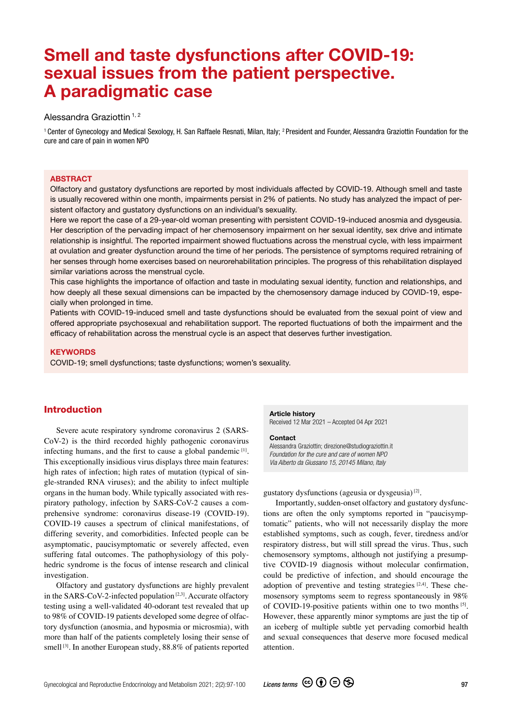# Smell and taste dysfunctions after COVID-19: sexual issues from the patient perspective. A paradigmatic case

# Alessandra Graziottin<sup>1,2</sup>

<sup>1</sup> Center of Gynecology and Medical Sexology, H. San Raffaele Resnati, Milan, Italy; <sup>2</sup> President and Founder, Alessandra Graziottin Foundation for the cure and care of pain in women NPO

#### **ABSTRACT**

Olfactory and gustatory dysfunctions are reported by most individuals affected by COVID-19. Although smell and taste is usually recovered within one month, impairments persist in 2% of patients. No study has analyzed the impact of persistent olfactory and gustatory dysfunctions on an individual's sexuality.

Here we report the case of a 29-year-old woman presenting with persistent COVID-19-induced anosmia and dysgeusia. Her description of the pervading impact of her chemosensory impairment on her sexual identity, sex drive and intimate relationship is insightful. The reported impairment showed fluctuations across the menstrual cycle, with less impairment at ovulation and greater dysfunction around the time of her periods. The persistence of symptoms required retraining of her senses through home exercises based on neurorehabilitation principles. The progress of this rehabilitation displayed similar variations across the menstrual cycle.

This case highlights the importance of olfaction and taste in modulating sexual identity, function and relationships, and how deeply all these sexual dimensions can be impacted by the chemosensory damage induced by COVID-19, especially when prolonged in time.

Patients with COVID-19-induced smell and taste dysfunctions should be evaluated from the sexual point of view and offered appropriate psychosexual and rehabilitation support. The reported fluctuations of both the impairment and the efficacy of rehabilitation across the menstrual cycle is an aspect that deserves further investigation.

#### **KEYWORDS**

COVID-19; smell dysfunctions; taste dysfunctions; women's sexuality.

# Introduction

Severe acute respiratory syndrome coronavirus 2 (SARS-CoV-2) is the third recorded highly pathogenic coronavirus infecting humans, and the first to cause a global pandemic [1]. This exceptionally insidious virus displays three main features: high rates of infection; high rates of mutation (typical of single-stranded RNA viruses); and the ability to infect multiple organs in the human body. While typically associated with respiratory pathology, infection by SARS-CoV-2 causes a comprehensive syndrome: coronavirus disease-19 (COVID-19). COVID-19 causes a spectrum of clinical manifestations, of differing severity, and comorbidities. Infected people can be asymptomatic, paucisymptomatic or severely affected, even suffering fatal outcomes. The pathophysiology of this polyhedric syndrome is the focus of intense research and clinical investigation.

Olfactory and gustatory dysfunctions are highly prevalent in the SARS-CoV-2-infected population  $[2,3]$ . Accurate olfactory testing using a well-validated 40-odorant test revealed that up to 98% of COVID-19 patients developed some degree of olfactory dysfunction (anosmia, and hyposmia or microsmia), with more than half of the patients completely losing their sense of smell  $[3]$ . In another European study,  $88.8\%$  of patients reported

#### Article history

Received 12 Mar 2021 – Accepted 04 Apr 2021

#### **Contact**

Alessandra Graziottin; direzione@studiograziottin.it *Foundation for the cure and care of women NPO Via Alberto da Giussano 15, 20145 Milano, Italy*

gustatory dysfunctions (ageusia or dysgeusia) [2].

Importantly, sudden-onset olfactory and gustatory dysfunctions are often the only symptoms reported in "paucisymptomatic" patients, who will not necessarily display the more established symptoms, such as cough, fever, tiredness and/or respiratory distress, but will still spread the virus. Thus, such chemosensory symptoms, although not justifying a presumptive COVID-19 diagnosis without molecular confirmation, could be predictive of infection, and should encourage the adoption of preventive and testing strategies  $[2,4]$ . These chemosensory symptoms seem to regress spontaneously in 98% of COVID-19-positive patients within one to two months [5]. However, these apparently minor symptoms are just the tip of an iceberg of multiple subtle yet pervading comorbid health and sexual consequences that deserve more focused medical attention.

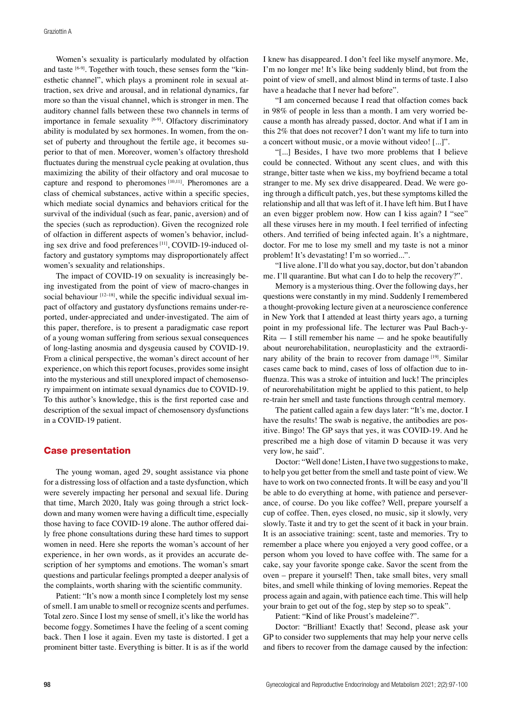Women's sexuality is particularly modulated by olfaction and taste [6-9]. Together with touch, these senses form the "kinesthetic channel", which plays a prominent role in sexual attraction, sex drive and arousal, and in relational dynamics, far more so than the visual channel, which is stronger in men. The auditory channel falls between these two channels in terms of importance in female sexuality [6-9]. Olfactory discriminatory ability is modulated by sex hormones. In women, from the onset of puberty and throughout the fertile age, it becomes superior to that of men. Moreover, women's olfactory threshold fluctuates during the menstrual cycle peaking at ovulation, thus maximizing the ability of their olfactory and oral mucosae to capture and respond to pheromones [10,11]. Pheromones are a class of chemical substances, active within a specific species, which mediate social dynamics and behaviors critical for the survival of the individual (such as fear, panic, aversion) and of the species (such as reproduction). Given the recognized role of olfaction in different aspects of women's behavior, including sex drive and food preferences<sup>[11]</sup>, COVID-19-induced olfactory and gustatory symptoms may disproportionately affect women's sexuality and relationships.

The impact of COVID-19 on sexuality is increasingly being investigated from the point of view of macro-changes in social behaviour  $[12-18]$ , while the specific individual sexual impact of olfactory and gustatory dysfunctions remains under-reported, under-appreciated and under-investigated. The aim of this paper, therefore, is to present a paradigmatic case report of a young woman suffering from serious sexual consequences of long-lasting anosmia and dysgeusia caused by COVID-19. From a clinical perspective, the woman's direct account of her experience, on which this report focuses, provides some insight into the mysterious and still unexplored impact of chemosensory impairment on intimate sexual dynamics due to COVID-19. To this author's knowledge, this is the first reported case and description of the sexual impact of chemosensory dysfunctions in a COVID-19 patient.

### Case presentation

The young woman, aged 29, sought assistance via phone for a distressing loss of olfaction and a taste dysfunction, which were severely impacting her personal and sexual life. During that time, March 2020, Italy was going through a strict lockdown and many women were having a difficult time, especially those having to face COVID-19 alone. The author offered daily free phone consultations during these hard times to support women in need. Here she reports the woman's account of her experience, in her own words, as it provides an accurate description of her symptoms and emotions. The woman's smart questions and particular feelings prompted a deeper analysis of the complaints, worth sharing with the scientific community.

Patient: "It's now a month since I completely lost my sense of smell. I am unable to smell or recognize scents and perfumes. Total zero. Since I lost my sense of smell, it's like the world has become foggy. Sometimes I have the feeling of a scent coming back. Then I lose it again. Even my taste is distorted. I get a prominent bitter taste. Everything is bitter. It is as if the world I knew has disappeared. I don't feel like myself anymore. Me, I'm no longer me! It's like being suddenly blind, but from the point of view of smell, and almost blind in terms of taste. I also have a headache that I never had before".

"I am concerned because I read that olfaction comes back in 98% of people in less than a month. I am very worried because a month has already passed, doctor. And what if I am in this 2% that does not recover? I don't want my life to turn into a concert without music, or a movie without video! [...]".

"[...] Besides, I have two more problems that I believe could be connected. Without any scent clues, and with this strange, bitter taste when we kiss, my boyfriend became a total stranger to me. My sex drive disappeared. Dead. We were going through a difficult patch, yes, but these symptoms killed the relationship and all that was left of it. I have left him. But I have an even bigger problem now. How can I kiss again? I "see" all these viruses here in my mouth. I feel terrified of infecting others. And terrified of being infected again. It's a nightmare, doctor. For me to lose my smell and my taste is not a minor problem! It's devastating! I'm so worried...".

"I live alone. I'll do what you say, doctor, but don't abandon me. I'll quarantine. But what can I do to help the recovery?".

Memory is a mysterious thing. Over the following days, her questions were constantly in my mind. Suddenly I remembered a thought-provoking lecture given at a neuroscience conference in New York that I attended at least thirty years ago, a turning point in my professional life. The lecturer was Paul Bach-y-Rita — I still remember his name — and he spoke beautifully about neurorehabilitation, neuroplasticity and the extraordinary ability of the brain to recover from damage [19]. Similar cases came back to mind, cases of loss of olfaction due to influenza. This was a stroke of intuition and luck! The principles of neurorehabilitation might be applied to this patient, to help re-train her smell and taste functions through central memory.

The patient called again a few days later: "It's me, doctor. I have the results! The swab is negative, the antibodies are positive. Bingo! The GP says that yes, it was COVID-19. And he prescribed me a high dose of vitamin D because it was very very low, he said".

Doctor: "Well done! Listen, I have two suggestions to make, to help you get better from the smell and taste point of view. We have to work on two connected fronts. It will be easy and you'll be able to do everything at home, with patience and perseverance, of course. Do you like coffee? Well, prepare yourself a cup of coffee. Then, eyes closed, no music, sip it slowly, very slowly. Taste it and try to get the scent of it back in your brain. It is an associative training: scent, taste and memories. Try to remember a place where you enjoyed a very good coffee, or a person whom you loved to have coffee with. The same for a cake, say your favorite sponge cake. Savor the scent from the oven – prepare it yourself! Then, take small bites, very small bites, and smell while thinking of loving memories. Repeat the process again and again, with patience each time. This will help your brain to get out of the fog, step by step so to speak".

Patient: "Kind of like Proust's madeleine?".

Doctor: "Brilliant! Exactly that! Second, please ask your GP to consider two supplements that may help your nerve cells and fibers to recover from the damage caused by the infection: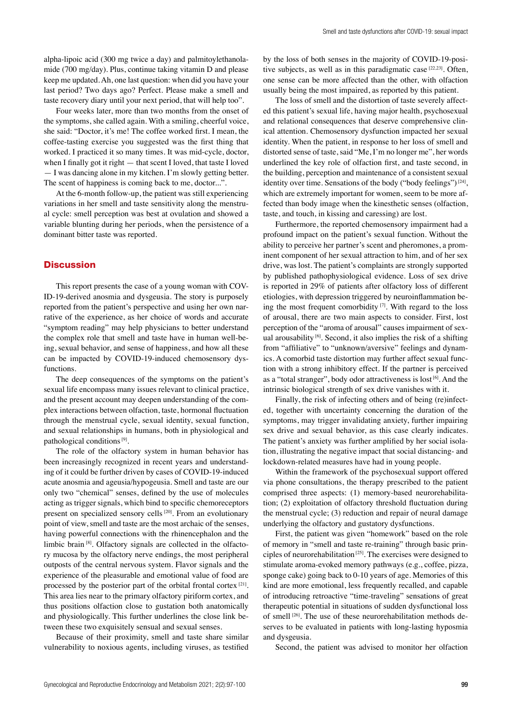alpha-lipoic acid (300 mg twice a day) and palmitoylethanolamide (700 mg/day). Plus, continue taking vitamin D and please keep me updated. Ah, one last question: when did you have your last period? Two days ago? Perfect. Please make a smell and taste recovery diary until your next period, that will help too".

Four weeks later, more than two months from the onset of the symptoms, she called again. With a smiling, cheerful voice, she said: "Doctor, it's me! The coffee worked first. I mean, the coffee-tasting exercise you suggested was the first thing that worked. I practiced it so many times. It was mid-cycle, doctor, when I finally got it right — that scent I loved, that taste I loved — I was dancing alone in my kitchen. I'm slowly getting better. The scent of happiness is coming back to me, doctor...".

At the 6-month follow-up, the patient was still experiencing variations in her smell and taste sensitivity along the menstrual cycle: smell perception was best at ovulation and showed a variable blunting during her periods, when the persistence of a dominant bitter taste was reported.

## **Discussion**

This report presents the case of a young woman with COV-ID-19-derived anosmia and dysgeusia. The story is purposely reported from the patient's perspective and using her own narrative of the experience, as her choice of words and accurate "symptom reading" may help physicians to better understand the complex role that smell and taste have in human well-being, sexual behavior, and sense of happiness, and how all these can be impacted by COVID-19-induced chemosensory dysfunctions.

The deep consequences of the symptoms on the patient's sexual life encompass many issues relevant to clinical practice, and the present account may deepen understanding of the complex interactions between olfaction, taste, hormonal fluctuation through the menstrual cycle, sexual identity, sexual function, and sexual relationships in humans, both in physiological and pathological conditions [9].

The role of the olfactory system in human behavior has been increasingly recognized in recent years and understanding of it could be further driven by cases of COVID-19-induced acute anosmia and ageusia/hypogeusia. Smell and taste are our only two "chemical" senses, defined by the use of molecules acting as trigger signals, which bind to specific chemoreceptors present on specialized sensory cells [20]. From an evolutionary point of view, smell and taste are the most archaic of the senses, having powerful connections with the rhinencephalon and the limbic brain [8]. Olfactory signals are collected in the olfactory mucosa by the olfactory nerve endings, the most peripheral outposts of the central nervous system. Flavor signals and the experience of the pleasurable and emotional value of food are processed by the posterior part of the orbital frontal cortex [21]. This area lies near to the primary olfactory piriform cortex, and thus positions olfaction close to gustation both anatomically and physiologically. This further underlines the close link between these two exquisitely sensual and sexual senses.

Because of their proximity, smell and taste share similar vulnerability to noxious agents, including viruses, as testified by the loss of both senses in the majority of COVID-19-positive subjects, as well as in this paradigmatic case [22,23]. Often, one sense can be more affected than the other, with olfaction usually being the most impaired, as reported by this patient.

The loss of smell and the distortion of taste severely affected this patient's sexual life, having major health, psychosexual and relational consequences that deserve comprehensive clinical attention. Chemosensory dysfunction impacted her sexual identity. When the patient, in response to her loss of smell and distorted sense of taste, said "Me, I'm no longer me", her words underlined the key role of olfaction first, and taste second, in the building, perception and maintenance of a consistent sexual identity over time. Sensations of the body ("body feelings")<sup>[24]</sup>, which are extremely important for women, seem to be more affected than body image when the kinesthetic senses (olfaction, taste, and touch, in kissing and caressing) are lost.

Furthermore, the reported chemosensory impairment had a profound impact on the patient's sexual function. Without the ability to perceive her partner's scent and pheromones, a prominent component of her sexual attraction to him, and of her sex drive, was lost. The patient's complaints are strongly supported by published pathophysiological evidence. Loss of sex drive is reported in 29% of patients after olfactory loss of different etiologies, with depression triggered by neuroinflammation being the most frequent comorbidity  $[7]$ . With regard to the loss of arousal, there are two main aspects to consider. First, lost perception of the "aroma of arousal" causes impairment of sexual arousability  $[6]$ . Second, it also implies the risk of a shifting from "affiliative" to "unknown/aversive" feelings and dynamics. A comorbid taste distortion may further affect sexual function with a strong inhibitory effect. If the partner is perceived as a "total stranger", body odor attractiveness is lost [6]. And the intrinsic biological strength of sex drive vanishes with it.

Finally, the risk of infecting others and of being (re)infected, together with uncertainty concerning the duration of the symptoms, may trigger invalidating anxiety, further impairing sex drive and sexual behavior, as this case clearly indicates. The patient's anxiety was further amplified by her social isolation, illustrating the negative impact that social distancing- and lockdown-related measures have had in young people.

Within the framework of the psychosexual support offered via phone consultations, the therapy prescribed to the patient comprised three aspects: (1) memory-based neurorehabilitation; (2) exploitation of olfactory threshold fluctuation during the menstrual cycle; (3) reduction and repair of neural damage underlying the olfactory and gustatory dysfunctions.

First, the patient was given "homework" based on the role of memory in "smell and taste re-training" through basic principles of neurorehabilitation [25]. The exercises were designed to stimulate aroma-evoked memory pathways (e.g., coffee, pizza, sponge cake) going back to 0-10 years of age. Memories of this kind are more emotional, less frequently recalled, and capable of introducing retroactive "time-traveling" sensations of great therapeutic potential in situations of sudden dysfunctional loss of smell [26]. The use of these neurorehabilitation methods deserves to be evaluated in patients with long-lasting hyposmia and dysgeusia.

Second, the patient was advised to monitor her olfaction